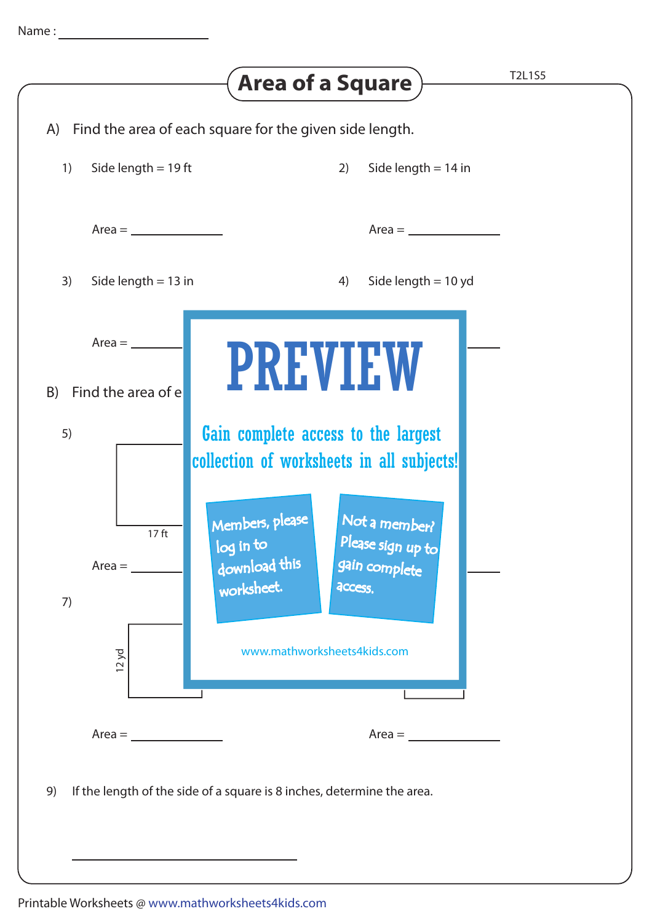